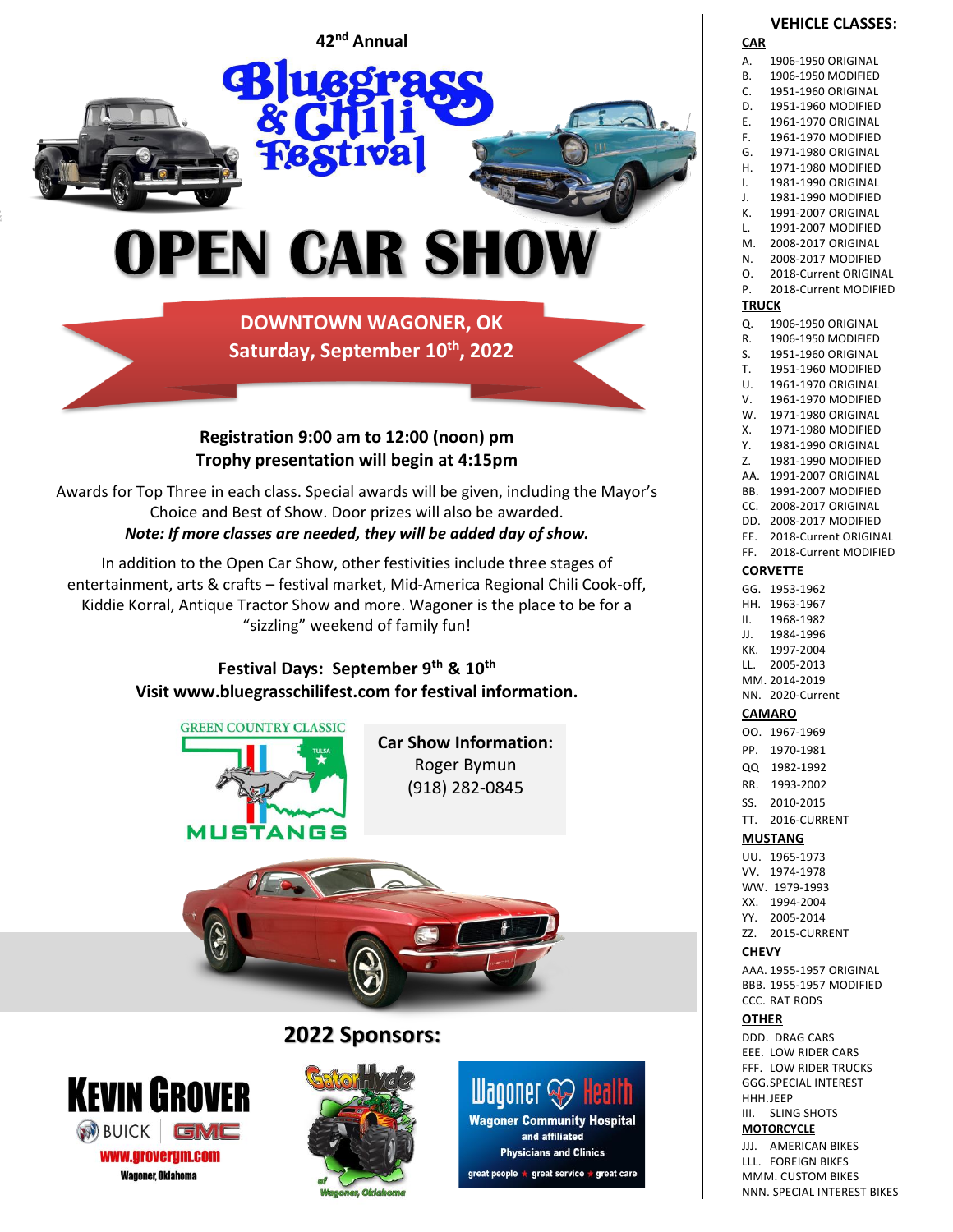

**DOWNTOWN WAGONER, OK Saturday, September 10 th, 2022**

## **Registration 9:00 am to 12:00 (noon) pm Trophy presentation will begin at 4:15pm**

Awards for Top Three in each class. Special awards will be given, including the Mayor's Choice and Best of Show. Door prizes will also be awarded. *Note: If more classes are needed, they will be added day of show.*

In addition to the Open Car Show, other festivities include three stages of entertainment, arts & crafts – festival market, Mid-America Regional Chili Cook-off, Kiddie Korral, Antique Tractor Show and more. Wagoner is the place to be for a "sizzling" weekend of family fun!

# **Festival Days: September 9 th & 10 th Visit www.bluegrasschilifest.com for festival information.**



**Car Show Information:** Roger Bymun (918) 282-0845



# **2022 Sponsors:**







great people ★ great service ★ great care

#### **VEHICLE CLASSES: CAR**

| А.              | 1906-1950 ORIGINAL                       |  |  |  |
|-----------------|------------------------------------------|--|--|--|
| В.              | 1906-1950 MODIFIED                       |  |  |  |
| С.              | 1951-1960 ORIGINAL                       |  |  |  |
| D.              | 1951-1960 MODIFIED                       |  |  |  |
| Е.              | 1961-1970 ORIGINAL                       |  |  |  |
| F.              | 1961-1970 MODIFIED                       |  |  |  |
| G.              | 1971-1980 ORIGINAL                       |  |  |  |
|                 |                                          |  |  |  |
| Н.              | 1971-1980 MODIFIED                       |  |  |  |
| I.              | 1981-1990 ORIGINAL                       |  |  |  |
| J.              | 1981-1990 MODIFIED                       |  |  |  |
| к.              | 1991-2007 ORIGINAL<br>1991-2007 MODIFIED |  |  |  |
| L.              |                                          |  |  |  |
| Μ.              | 2008-2017 ORIGINAL                       |  |  |  |
| Ν.              | 2008-2017 MODIFIED                       |  |  |  |
| О.              | 2018-Current ORIGINAL                    |  |  |  |
| Ρ.              | 2018-Current MODIFIED                    |  |  |  |
| TRUCK           |                                          |  |  |  |
| Q.              | 1906-1950 ORIGINAL                       |  |  |  |
| R.              | 1906-1950 MODIFIED                       |  |  |  |
| S.              | 1951-1960 ORIGINAL                       |  |  |  |
| Т.              | 1951-1960 MODIFIED                       |  |  |  |
| U.              | 1961-1970 ORIGINAL                       |  |  |  |
| ۷.              | 1961-1970 MODIFIED                       |  |  |  |
| W.              | 1971-1980 ORIGINAL                       |  |  |  |
| Х.              | 1971-1980 MODIFIED                       |  |  |  |
| Υ.              | 1981-1990 ORIGINAL                       |  |  |  |
| Z.              | 1981-1990 MODIFIED                       |  |  |  |
| AA.             | 1991-2007 ORIGINAL                       |  |  |  |
| BB.             | 1991-2007 MODIFIED                       |  |  |  |
| CC.             | 2008-2017 ORIGINAL                       |  |  |  |
| DD.             | 2008-2017 MODIFIED                       |  |  |  |
| EE.             | 2018-Current ORIGINAL                    |  |  |  |
| FF.             | 2018-Current MODIFIED                    |  |  |  |
| <b>CORVETTE</b> |                                          |  |  |  |
| GG.             | 1953-1962                                |  |  |  |
| HH.             | 1963-1967                                |  |  |  |
| н.              | 1968-1982                                |  |  |  |
| JJ.             | 1984-1996                                |  |  |  |
| KK.             | 1997-2004                                |  |  |  |
| LL.             | 2005-2013                                |  |  |  |
|                 | MM. 2014-2019                            |  |  |  |
| NN.             | 2020-Current                             |  |  |  |
| <u>CAMARO</u>   |                                          |  |  |  |
| OO.             | 1967-1969                                |  |  |  |
| PP.             | 1970-1981                                |  |  |  |
| QQ              | 1982-1992                                |  |  |  |
| RR.             | 1993-2002                                |  |  |  |
| SS.             | 2010-2015                                |  |  |  |
|                 |                                          |  |  |  |

#### TT. 2016-CURRENT **MUSTANG**

- UU. 1965-1973
- VV. 1974-1978 WW. 1979-1993
- XX. 1994-2004 YY. 2005-2014
- ZZ. 2015-CURRENT

#### **CHEVY**

AAA. 1955-1957 ORIGINAL BBB. 1955-1957 MODIFIED CCC. RAT RODS

#### **OTHER**

DDD. DRAG CARS EEE. LOW RIDER CARS FFF. LOW RIDER TRUCKS GGG.SPECIAL INTEREST HHH.JEEP III. SLING SHOTS

**MOTORCYCLE** JJJ. AMERICAN BIKES LLL. FOREIGN BIKES

MMM. CUSTOM BIKES NNN. SPECIAL INTEREST BIKES